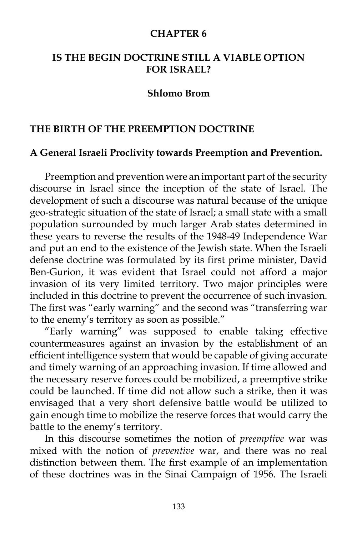### **CHAPTER 6**

## **IS THE BEGIN DOCTRINE STILL A VIABLE OPTION FOR ISRAEL?**

#### **Shlomo Brom**

#### **THE BIRTH OF THE PREEMPTION DOCTRINE**

# **A General Israeli Proclivity towards Preemption and Prevention.**

 Preemption and prevention were an important part of the security discourse in Israel since the inception of the state of Israel. The development of such a discourse was natural because of the unique geo-strategic situation of the state of Israel; a small state with a small population surrounded by much larger Arab states determined in these years to reverse the results of the 1948-49 Independence War and put an end to the existence of the Jewish state. When the Israeli defense doctrine was formulated by its first prime minister, David Ben-Gurion, it was evident that Israel could not afford a major invasion of its very limited territory. Two major principles were included in this doctrine to prevent the occurrence of such invasion. The first was "early warning" and the second was "transferring war to the enemy's territory as soon as possible."

 "Early warning" was supposed to enable taking effective countermeasures against an invasion by the establishment of an efficient intelligence system that would be capable of giving accurate and timely warning of an approaching invasion. If time allowed and the necessary reserve forces could be mobilized, a preemptive strike could be launched. If time did not allow such a strike, then it was envisaged that a very short defensive battle would be utilized to gain enough time to mobilize the reserve forces that would carry the battle to the enemy's territory.

 In this discourse sometimes the notion of *preemptive* war was mixed with the notion of *preventive* war, and there was no real distinction between them. The first example of an implementation of these doctrines was in the Sinai Campaign of 1956. The Israeli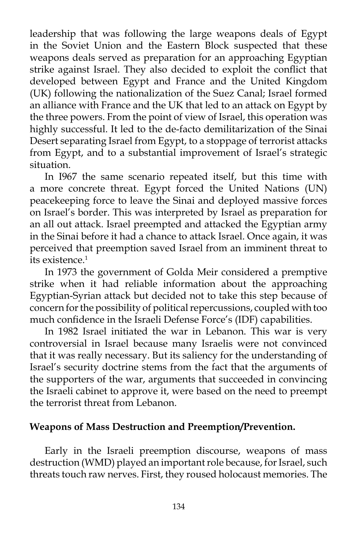leadership that was following the large weapons deals of Egypt in the Soviet Union and the Eastern Block suspected that these weapons deals served as preparation for an approaching Egyptian strike against Israel. They also decided to exploit the conflict that developed between Egypt and France and the United Kingdom (UK) following the nationalization of the Suez Canal; Israel formed an alliance with France and the UK that led to an attack on Egypt by the three powers. From the point of view of Israel, this operation was highly successful. It led to the de-facto demilitarization of the Sinai Desert separating Israel from Egypt, to a stoppage of terrorist attacks from Egypt, and to a substantial improvement of Israel's strategic situation.

 In I967 the same scenario repeated itself, but this time with a more concrete threat. Egypt forced the United Nations (UN) peacekeeping force to leave the Sinai and deployed massive forces on Israel's border. This was interpreted by Israel as preparation for an all out attack. Israel preempted and attacked the Egyptian army in the Sinai before it had a chance to attack Israel. Once again, it was perceived that preemption saved Israel from an imminent threat to its existence.<sup>1</sup>

 In 1973 the government of Golda Meir considered a premptive strike when it had reliable information about the approaching Egyptian-Syrian attack but decided not to take this step because of concern for the possibility of political repercussions, coupled with too much confidence in the Israeli Defense Force's (IDF) capabilities.

 In 1982 Israel initiated the war in Lebanon. This war is very controversial in Israel because many Israelis were not convinced that it was really necessary. But its saliency for the understanding of Israel's security doctrine stems from the fact that the arguments of the supporters of the war, arguments that succeeded in convincing the Israeli cabinet to approve it, were based on the need to preempt the terrorist threat from Lebanon.

#### **Weapons of Mass Destruction and Preemption/Prevention.**

 Early in the Israeli preemption discourse, weapons of mass destruction (WMD) played an important role because, for Israel, such threats touch raw nerves. First, they roused holocaust memories. The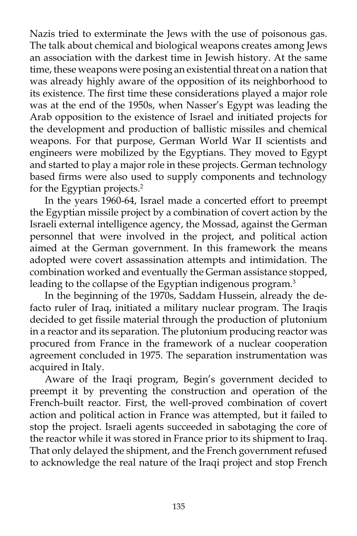Nazis tried to exterminate the Jews with the use of poisonous gas. The talk about chemical and biological weapons creates among Jews an association with the darkest time in Jewish history. At the same time, these weapons were posing an existential threat on a nation that was already highly aware of the opposition of its neighborhood to its existence. The first time these considerations played a major role was at the end of the 1950s, when Nasser's Egypt was leading the Arab opposition to the existence of Israel and initiated projects for the development and production of ballistic missiles and chemical weapons. For that purpose, German World War II scientists and engineers were mobilized by the Egyptians. They moved to Egypt and started to play a major role in these projects. German technology based firms were also used to supply components and technology for the Egyptian projects.<sup>2</sup>

 In the years 1960-64, Israel made a concerted effort to preempt the Egyptian missile project by a combination of covert action by the Israeli external intelligence agency, the Mossad, against the German personnel that were involved in the project, and political action aimed at the German government. In this framework the means adopted were covert assassination attempts and intimidation. The combination worked and eventually the German assistance stopped, leading to the collapse of the Egyptian indigenous program.<sup>3</sup>

 In the beginning of the 1970s, Saddam Hussein, already the defacto ruler of Iraq, initiated a military nuclear program. The Iraqis decided to get fissile material through the production of plutonium in a reactor and its separation. The plutonium producing reactor was procured from France in the framework of a nuclear cooperation agreement concluded in 1975. The separation instrumentation was acquired in Italy.

 Aware of the Iraqi program, Begin's government decided to preempt it by preventing the construction and operation of the French-built reactor. First, the well-proved combination of covert action and political action in France was attempted, but it failed to stop the project. Israeli agents succeeded in sabotaging the core of the reactor while it was stored in France prior to its shipment to Iraq. That only delayed the shipment, and the French government refused to acknowledge the real nature of the Iraqi project and stop French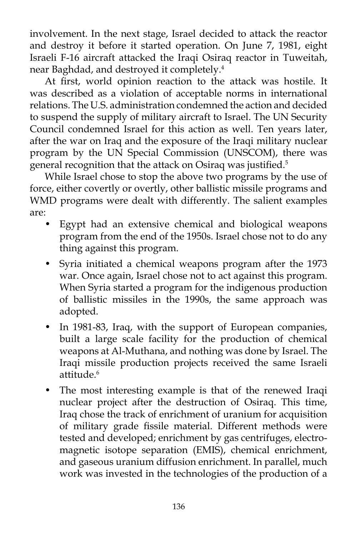involvement. In the next stage, Israel decided to attack the reactor and destroy it before it started operation. On June 7, 1981, eight Israeli F-16 aircraft attacked the Iraqi Osiraq reactor in Tuweitah, near Baghdad, and destroyed it completely.4

 At first, world opinion reaction to the attack was hostile. It was described as a violation of acceptable norms in international relations. The U.S. administration condemned the action and decided to suspend the supply of military aircraft to Israel. The UN Security Council condemned Israel for this action as well. Ten years later, after the war on Iraq and the exposure of the Iraqi military nuclear program by the UN Special Commission (UNSCOM), there was general recognition that the attack on Osiraq was justified.<sup>5</sup>

 While Israel chose to stop the above two programs by the use of force, either covertly or overtly, other ballistic missile programs and WMD programs were dealt with differently. The salient examples are:

- Egypt had an extensive chemical and biological weapons program from the end of the 1950s. Israel chose not to do any thing against this program.
- Syria initiated a chemical weapons program after the 1973 war. Once again, Israel chose not to act against this program. When Syria started a program for the indigenous production of ballistic missiles in the 1990s, the same approach was adopted.
- In 1981-83, Iraq, with the support of European companies, built a large scale facility for the production of chemical weapons at Al-Muthana, and nothing was done by Israel. The Iraqi missile production projects received the same Israeli attitude.<sup>6</sup>
- The most interesting example is that of the renewed Iraqi nuclear project after the destruction of Osiraq. This time, Iraq chose the track of enrichment of uranium for acquisition of military grade fissile material. Different methods were tested and developed; enrichment by gas centrifuges, electromagnetic isotope separation (EMIS), chemical enrichment, and gaseous uranium diffusion enrichment. In parallel, much work was invested in the technologies of the production of a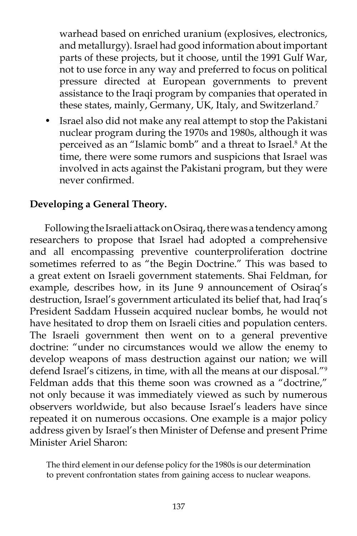warhead based on enriched uranium (explosives, electronics, and metallurgy). Israel had good information about important parts of these projects, but it choose, until the 1991 Gulf War, not to use force in any way and preferred to focus on political pressure directed at European governments to prevent assistance to the Iraqi program by companies that operated in these states, mainly, Germany, UK, Italy, and Switzerland.7

 • Israel also did not make any real attempt to stop the Pakistani nuclear program during the 1970s and 1980s, although it was perceived as an "Islamic bomb" and a threat to Israel.8 At the time, there were some rumors and suspicions that Israel was involved in acts against the Pakistani program, but they were never confirmed.

# **Developing a General Theory.**

 Following the Israeli attack on Osiraq, there was a tendency among researchers to propose that Israel had adopted a comprehensive and all encompassing preventive counterproliferation doctrine sometimes referred to as "the Begin Doctrine." This was based to a great extent on Israeli government statements. Shai Feldman, for example, describes how, in its June 9 announcement of Osiraq's destruction, Israel's government articulated its belief that, had Iraq's President Saddam Hussein acquired nuclear bombs, he would not have hesitated to drop them on Israeli cities and population centers. The Israeli government then went on to a general preventive doctrine: "under no circumstances would we allow the enemy to develop weapons of mass destruction against our nation; we will defend Israel's citizens, in time, with all the means at our disposal."<sup>9</sup> Feldman adds that this theme soon was crowned as a "doctrine," not only because it was immediately viewed as such by numerous observers worldwide, but also because Israel's leaders have since repeated it on numerous occasions. One example is a major policy address given by Israel's then Minister of Defense and present Prime Minister Ariel Sharon:

The third element in our defense policy for the 1980s is our determination to prevent confrontation states from gaining access to nuclear weapons.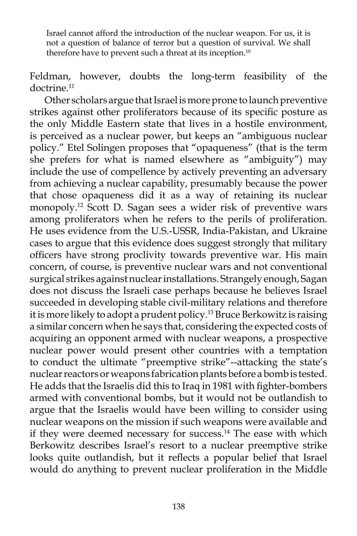Israel cannot afford the introduction of the nuclear weapon. For us, it is not a question of balance of terror but a question of survival. We shall therefore have to prevent such a threat at its inception.<sup>10</sup>

Feldman, however, doubts the long-term feasibility of the  $d$ octrine $^{11}$ 

 Other scholars argue that Israel is more prone to launch preventive strikes against other proliferators because of its specific posture as the only Middle Eastern state that lives in a hostile environment, is perceived as a nuclear power, but keeps an "ambiguous nuclear policy." Etel Solingen proposes that "opaqueness" (that is the term she prefers for what is named elsewhere as "ambiguity") may include the use of compellence by actively preventing an adversary from achieving a nuclear capability, presumably because the power that chose opaqueness did it as a way of retaining its nuclear monopoly.12 Scott D. Sagan sees a wider risk of preventive wars among proliferators when he refers to the perils of proliferation. He uses evidence from the U.S.-USSR, India-Pakistan, and Ukraine cases to argue that this evidence does suggest strongly that military officers have strong proclivity towards preventive war. His main concern, of course, is preventive nuclear wars and not conventional surgical strikes against nuclear installations. Strangely enough, Sagan does not discuss the Israeli case perhaps because he believes Israel succeeded in developing stable civil-military relations and therefore it is more likely to adopt a prudent policy.<sup>13</sup> Bruce Berkowitz is raising a similar concern when he says that, considering the expected costs of acquiring an opponent armed with nuclear weapons, a prospective nuclear power would present other countries with a temptation to conduct the ultimate "preemptive strike"--attacking the state's nuclear reactors or weapons fabrication plants before a bomb is tested. He adds that the Israelis did this to Iraq in 1981 with fighter-bombers armed with conventional bombs, but it would not be outlandish to argue that the Israelis would have been willing to consider using nuclear weapons on the mission if such weapons were available and if they were deemed necessary for success.<sup>14</sup> The ease with which Berkowitz describes Israel's resort to a nuclear preemptive strike looks quite outlandish, but it reflects a popular belief that Israel would do anything to prevent nuclear proliferation in the Middle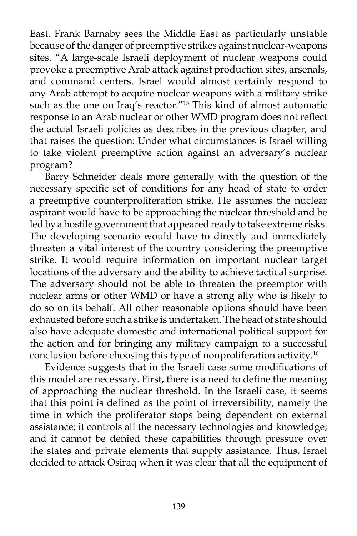East. Frank Barnaby sees the Middle East as particularly unstable because of the danger of preemptive strikes against nuclear-weapons sites. "A large-scale Israeli deployment of nuclear weapons could provoke a preemptive Arab attack against production sites, arsenals, and command centers. Israel would almost certainly respond to any Arab attempt to acquire nuclear weapons with a military strike such as the one on Iraq's reactor."15 This kind of almost automatic response to an Arab nuclear or other WMD program does not reflect the actual Israeli policies as describes in the previous chapter, and that raises the question: Under what circumstances is Israel willing to take violent preemptive action against an adversary's nuclear program?

 Barry Schneider deals more generally with the question of the necessary specific set of conditions for any head of state to order a preemptive counterproliferation strike. He assumes the nuclear aspirant would have to be approaching the nuclear threshold and be led by a hostile government that appeared ready to take extreme risks. The developing scenario would have to directly and immediately threaten a vital interest of the country considering the preemptive strike. It would require information on important nuclear target locations of the adversary and the ability to achieve tactical surprise. The adversary should not be able to threaten the preemptor with nuclear arms or other WMD or have a strong ally who is likely to do so on its behalf. All other reasonable options should have been exhausted before such a strike is undertaken. The head of state should also have adequate domestic and international political support for the action and for bringing any military campaign to a successful conclusion before choosing this type of nonproliferation activity.16

 Evidence suggests that in the Israeli case some modifications of this model are necessary. First, there is a need to define the meaning of approaching the nuclear threshold. In the Israeli case, it seems that this point is defined as the point of irreversibility, namely the time in which the proliferator stops being dependent on external assistance; it controls all the necessary technologies and knowledge; and it cannot be denied these capabilities through pressure over the states and private elements that supply assistance. Thus, Israel decided to attack Osiraq when it was clear that all the equipment of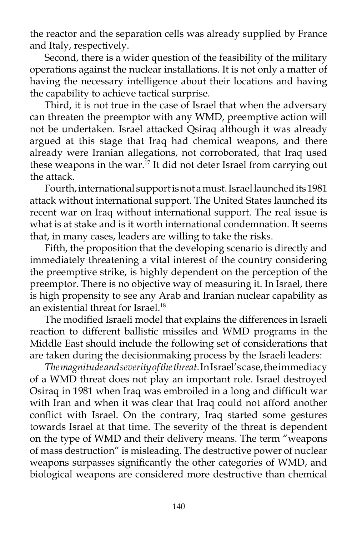the reactor and the separation cells was already supplied by France and Italy, respectively.

 Second, there is a wider question of the feasibility of the military operations against the nuclear installations. It is not only a matter of having the necessary intelligence about their locations and having the capability to achieve tactical surprise.

 Third, it is not true in the case of Israel that when the adversary can threaten the preemptor with any WMD, preemptive action will not be undertaken. Israel attacked Qsiraq although it was already argued at this stage that Iraq had chemical weapons, and there already were Iranian allegations, not corroborated, that Iraq used these weapons in the war.<sup>17</sup> It did not deter Israel from carrying out the attack.

 Fourth, international support is not a must. Israel launched its 1981 attack without international support. The United States launched its recent war on Iraq without international support. The real issue is what is at stake and is it worth international condemnation. It seems that, in many cases, leaders are willing to take the risks.

 Fifth, the proposition that the developing scenario is directly and immediately threatening a vital interest of the country considering the preemptive strike, is highly dependent on the perception of the preemptor. There is no objective way of measuring it. In Israel, there is high propensity to see any Arab and Iranian nuclear capability as an existential threat for Israel.<sup>18</sup>

 The modified Israeli model that explains the differences in Israeli reaction to different ballistic missiles and WMD programs in the Middle East should include the following set of considerations that are taken during the decisionmaking process by the Israeli leaders:

*The magnitude and severity of the threat*. In Israel's case, the immediacy of a WMD threat does not play an important role. Israel destroyed Osiraq in 1981 when Iraq was embroiled in a long and difficult war with Iran and when it was clear that Iraq could not afford another conflict with Israel. On the contrary, Iraq started some gestures towards Israel at that time. The severity of the threat is dependent on the type of WMD and their delivery means. The term "weapons of mass destruction" is misleading. The destructive power of nuclear weapons surpasses significantly the other categories of WMD, and biological weapons are considered more destructive than chemical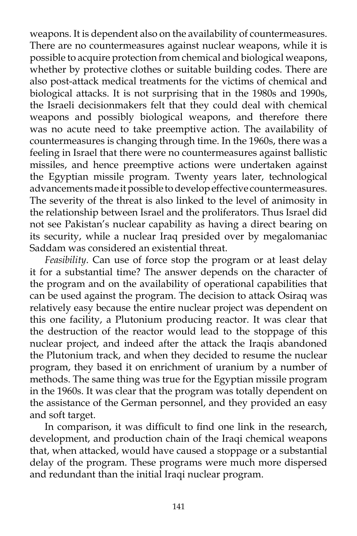weapons. It is dependent also on the availability of countermeasures. There are no countermeasures against nuclear weapons, while it is possible to acquire protection from chemical and biological weapons, whether by protective clothes or suitable building codes. There are also post-attack medical treatments for the victims of chemical and biological attacks. It is not surprising that in the 1980s and 1990s, the Israeli decisionmakers felt that they could deal with chemical weapons and possibly biological weapons, and therefore there was no acute need to take preemptive action. The availability of countermeasures is changing through time. In the 1960s, there was a feeling in Israel that there were no countermeasures against ballistic missiles, and hence preemptive actions were undertaken against the Egyptian missile program. Twenty years later, technological advancements made it possible to develop effective countermeasures. The severity of the threat is also linked to the level of animosity in the relationship between Israel and the proliferators. Thus Israel did not see Pakistan's nuclear capability as having a direct bearing on its security, while a nuclear Iraq presided over by megalomaniac Saddam was considered an existential threat.

*Feasibility*. Can use of force stop the program or at least delay it for a substantial time? The answer depends on the character of the program and on the availability of operational capabilities that can be used against the program. The decision to attack Osiraq was relatively easy because the entire nuclear project was dependent on this one facility, a Plutonium producing reactor. It was clear that the destruction of the reactor would lead to the stoppage of this nuclear project, and indeed after the attack the Iraqis abandoned the Plutonium track, and when they decided to resume the nuclear program, they based it on enrichment of uranium by a number of methods. The same thing was true for the Egyptian missile program in the 1960s. It was clear that the program was totally dependent on the assistance of the German personnel, and they provided an easy and soft target.

 In comparison, it was difficult to find one link in the research, development, and production chain of the Iraqi chemical weapons that, when attacked, would have caused a stoppage or a substantial delay of the program. These programs were much more dispersed and redundant than the initial Iraqi nuclear program.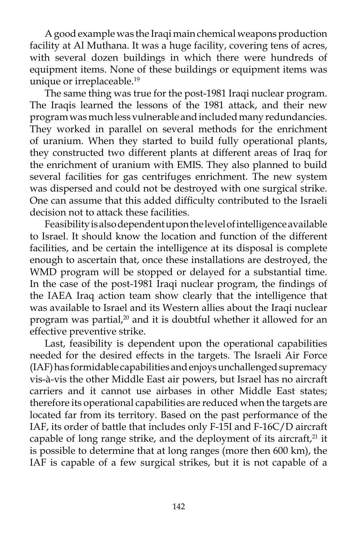A good example was the Iraqi main chemical weapons production facility at Al Muthana. It was a huge facility, covering tens of acres, with several dozen buildings in which there were hundreds of equipment items. None of these buildings or equipment items was unique or irreplaceable.<sup>19</sup>

 The same thing was true for the post-1981 Iraqi nuclear program. The Iraqis learned the lessons of the 1981 attack, and their new program was much less vulnerable and included many redundancies. They worked in parallel on several methods for the enrichment of uranium. When they started to build fully operational plants, they constructed two different plants at different areas of Iraq for the enrichment of uranium with EMIS. They also planned to build several facilities for gas centrifuges enrichment. The new system was dispersed and could not be destroyed with one surgical strike. One can assume that this added difficulty contributed to the Israeli decision not to attack these facilities.

 Feasibility is also dependent upon the level of intelligence available to Israel. It should know the location and function of the different facilities, and be certain the intelligence at its disposal is complete enough to ascertain that, once these installations are destroyed, the WMD program will be stopped or delayed for a substantial time. In the case of the post-1981 Iraqi nuclear program, the findings of the IAEA Iraq action team show clearly that the intelligence that was available to Israel and its Western allies about the Iraqi nuclear program was partial, $20$  and it is doubtful whether it allowed for an effective preventive strike.

 Last, feasibility is dependent upon the operational capabilities needed for the desired effects in the targets. The Israeli Air Force (IAF) has formidable capabilities and enjoys unchallenged supremacy vis-à-vis the other Middle East air powers, but Israel has no aircraft carriers and it cannot use airbases in other Middle East states; therefore its operational capabilities are reduced when the targets are located far from its territory. Based on the past performance of the IAF, its order of battle that includes only F-15I and F-16C/D aircraft capable of long range strike, and the deployment of its aircraft, $21$  it is possible to determine that at long ranges (more then 600 km), the IAF is capable of a few surgical strikes, but it is not capable of a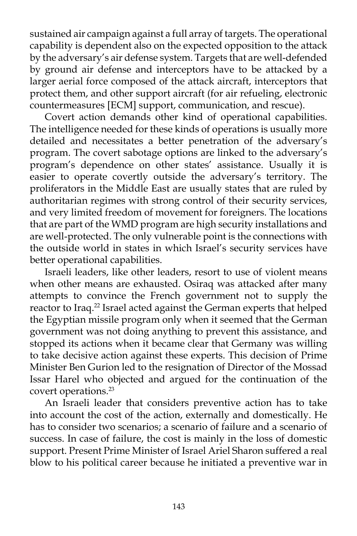sustained air campaign against a full array of targets. The operational capability is dependent also on the expected opposition to the attack by the adversary's air defense system. Targets that are well-defended by ground air defense and interceptors have to be attacked by a larger aerial force composed of the attack aircraft, interceptors that protect them, and other support aircraft (for air refueling, electronic countermeasures [ECM] support, communication, and rescue).

 Covert action demands other kind of operational capabilities. The intelligence needed for these kinds of operations is usually more detailed and necessitates a better penetration of the adversary's program. The covert sabotage options are linked to the adversary's program's dependence on other states' assistance. Usually it is easier to operate covertly outside the adversary's territory. The proliferators in the Middle East are usually states that are ruled by authoritarian regimes with strong control of their security services, and very limited freedom of movement for foreigners. The locations that are part of the WMD program are high security installations and are well-protected. The only vulnerable point is the connections with the outside world in states in which Israel's security services have better operational capabilities.

 Israeli leaders, like other leaders, resort to use of violent means when other means are exhausted. Osiraq was attacked after many attempts to convince the French government not to supply the reactor to Iraq.<sup>22</sup> Israel acted against the German experts that helped the Egyptian missile program only when it seemed that the German government was not doing anything to prevent this assistance, and stopped its actions when it became clear that Germany was willing to take decisive action against these experts. This decision of Prime Minister Ben Gurion led to the resignation of Director of the Mossad Issar Harel who objected and argued for the continuation of the covert operations.23

 An Israeli leader that considers preventive action has to take into account the cost of the action, externally and domestically. He has to consider two scenarios; a scenario of failure and a scenario of success. In case of failure, the cost is mainly in the loss of domestic support. Present Prime Minister of Israel Ariel Sharon suffered a real blow to his political career because he initiated a preventive war in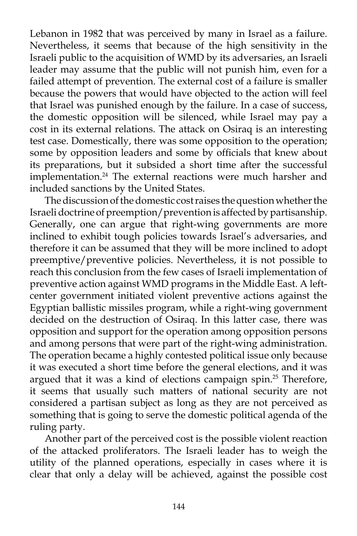Lebanon in 1982 that was perceived by many in Israel as a failure. Nevertheless, it seems that because of the high sensitivity in the Israeli public to the acquisition of WMD by its adversaries, an Israeli leader may assume that the public will not punish him, even for a failed attempt of prevention. The external cost of a failure is smaller because the powers that would have objected to the action will feel that Israel was punished enough by the failure. In a case of success, the domestic opposition will be silenced, while Israel may pay a cost in its external relations. The attack on Osiraq is an interesting test case. Domestically, there was some opposition to the operation; some by opposition leaders and some by officials that knew about its preparations, but it subsided a short time after the successful implementation.<sup>24</sup> The external reactions were much harsher and included sanctions by the United States.

 The discussion of the domestic cost raises the question whether the Israeli doctrine of preemption/prevention is affected by partisanship. Generally, one can argue that right-wing governments are more inclined to exhibit tough policies towards Israel's adversaries, and therefore it can be assumed that they will be more inclined to adopt preemptive/preventive policies. Nevertheless, it is not possible to reach this conclusion from the few cases of Israeli implementation of preventive action against WMD programs in the Middle East. A leftcenter government initiated violent preventive actions against the Egyptian ballistic missiles program, while a right-wing government decided on the destruction of Osiraq. In this latter case, there was opposition and support for the operation among opposition persons and among persons that were part of the right-wing administration. The operation became a highly contested political issue only because it was executed a short time before the general elections, and it was argued that it was a kind of elections campaign spin.<sup>25</sup> Therefore, it seems that usually such matters of national security are not considered a partisan subject as long as they are not perceived as something that is going to serve the domestic political agenda of the ruling party.

 Another part of the perceived cost is the possible violent reaction of the attacked proliferators. The Israeli leader has to weigh the utility of the planned operations, especially in cases where it is clear that only a delay will be achieved, against the possible cost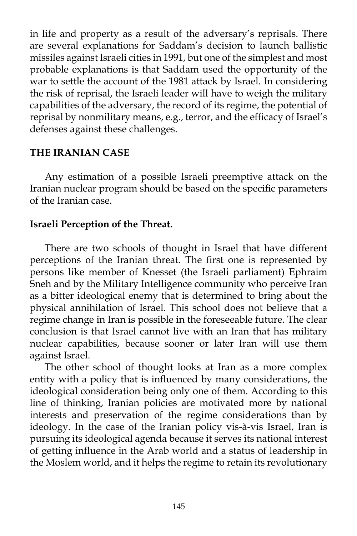in life and property as a result of the adversary's reprisals. There are several explanations for Saddam's decision to launch ballistic missiles against Israeli cities in 1991, but one of the simplest and most probable explanations is that Saddam used the opportunity of the war to settle the account of the 1981 attack by Israel. In considering the risk of reprisal, the Israeli leader will have to weigh the military capabilities of the adversary, the record of its regime, the potential of reprisal by nonmilitary means, e.g., terror, and the efficacy of Israel's defenses against these challenges.

## **THE IRANIAN CASE**

 Any estimation of a possible Israeli preemptive attack on the Iranian nuclear program should be based on the specific parameters of the Iranian case.

## **Israeli Perception of the Threat.**

 There are two schools of thought in Israel that have different perceptions of the Iranian threat. The first one is represented by persons like member of Knesset (the Israeli parliament) Ephraim Sneh and by the Military Intelligence community who perceive Iran as a bitter ideological enemy that is determined to bring about the physical annihilation of Israel. This school does not believe that a regime change in Iran is possible in the foreseeable future. The clear conclusion is that Israel cannot live with an Iran that has military nuclear capabilities, because sooner or later Iran will use them against Israel.

 The other school of thought looks at Iran as a more complex entity with a policy that is influenced by many considerations, the ideological consideration being only one of them. According to this line of thinking, Iranian policies are motivated more by national interests and preservation of the regime considerations than by ideology. In the case of the Iranian policy vis-à-vis Israel, Iran is pursuing its ideological agenda because it serves its national interest of getting influence in the Arab world and a status of leadership in the Moslem world, and it helps the regime to retain its revolutionary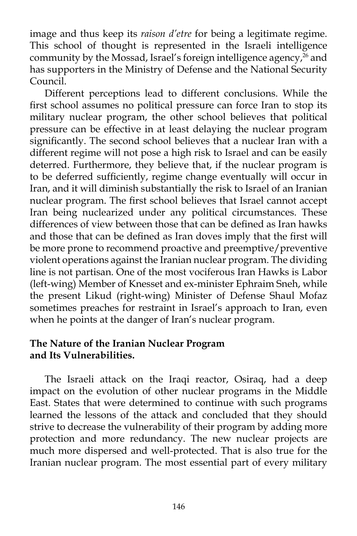image and thus keep its *raison d'etre* for being a legitimate regime. This school of thought is represented in the Israeli intelligence community by the Mossad, Israel's foreign intelligence agency, $^{26}$  and has supporters in the Ministry of Defense and the National Security Council.

 Different perceptions lead to different conclusions. While the first school assumes no political pressure can force Iran to stop its military nuclear program, the other school believes that political pressure can be effective in at least delaying the nuclear program significantly. The second school believes that a nuclear Iran with a different regime will not pose a high risk to Israel and can be easily deterred. Furthermore, they believe that, if the nuclear program is to be deferred sufficiently, regime change eventually will occur in Iran, and it will diminish substantially the risk to Israel of an Iranian nuclear program. The first school believes that Israel cannot accept Iran being nuclearized under any political circumstances. These differences of view between those that can be defined as Iran hawks and those that can be defined as Iran doves imply that the first will be more prone to recommend proactive and preemptive/preventive violent operations against the Iranian nuclear program. The dividing line is not partisan. One of the most vociferous Iran Hawks is Labor (left-wing) Member of Knesset and ex-minister Ephraim Sneh, while the present Likud (right-wing) Minister of Defense Shaul Mofaz sometimes preaches for restraint in Israel's approach to Iran, even when he points at the danger of Iran's nuclear program.

# **The Nature of the Iranian Nuclear Program and Its Vulnerabilities.**

 The Israeli attack on the Iraqi reactor, Osiraq, had a deep impact on the evolution of other nuclear programs in the Middle East. States that were determined to continue with such programs learned the lessons of the attack and concluded that they should strive to decrease the vulnerability of their program by adding more protection and more redundancy. The new nuclear projects are much more dispersed and well-protected. That is also true for the Iranian nuclear program. The most essential part of every military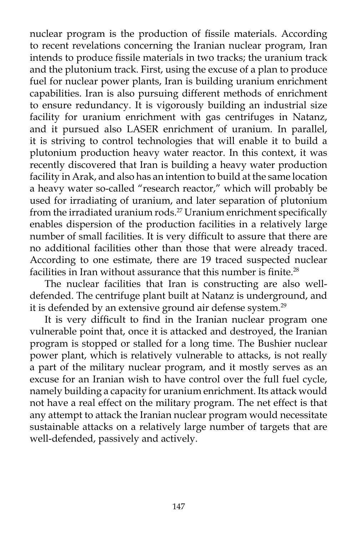nuclear program is the production of fissile materials. According to recent revelations concerning the Iranian nuclear program, Iran intends to produce fissile materials in two tracks; the uranium track and the plutonium track. First, using the excuse of a plan to produce fuel for nuclear power plants, Iran is building uranium enrichment capabilities. Iran is also pursuing different methods of enrichment to ensure redundancy. It is vigorously building an industrial size facility for uranium enrichment with gas centrifuges in Natanz, and it pursued also LASER enrichment of uranium. In parallel, it is striving to control technologies that will enable it to build a plutonium production heavy water reactor. In this context, it was recently discovered that Iran is building a heavy water production facility in Arak, and also has an intention to build at the same location a heavy water so-called "research reactor," which will probably be used for irradiating of uranium, and later separation of plutonium from the irradiated uranium rods.<sup>27</sup> Uranium enrichment specifically enables dispersion of the production facilities in a relatively large number of small facilities. It is very difficult to assure that there are no additional facilities other than those that were already traced. According to one estimate, there are 19 traced suspected nuclear facilities in Iran without assurance that this number is finite.<sup>28</sup>

 The nuclear facilities that Iran is constructing are also welldefended. The centrifuge plant built at Natanz is underground, and it is defended by an extensive ground air defense system.<sup>29</sup>

 It is very difficult to find in the Iranian nuclear program one vulnerable point that, once it is attacked and destroyed, the Iranian program is stopped or stalled for a long time. The Bushier nuclear power plant, which is relatively vulnerable to attacks, is not really a part of the military nuclear program, and it mostly serves as an excuse for an Iranian wish to have control over the full fuel cycle, namely building a capacity for uranium enrichment. Its attack would not have a real effect on the military program. The net effect is that any attempt to attack the Iranian nuclear program would necessitate sustainable attacks on a relatively large number of targets that are well-defended, passively and actively.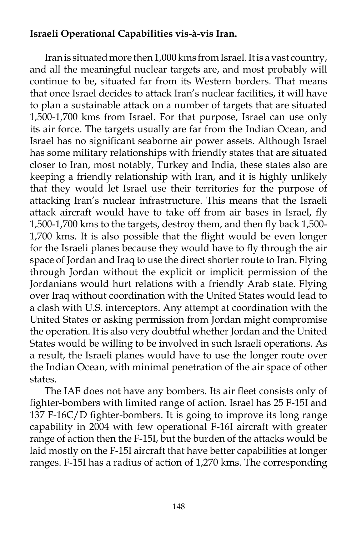# **Israeli Operational Capabilities vis-à-vis Iran.**

 Iran is situated more then 1,000 kms from Israel. It is a vast country, and all the meaningful nuclear targets are, and most probably will continue to be, situated far from its Western borders. That means that once Israel decides to attack Iran's nuclear facilities, it will have to plan a sustainable attack on a number of targets that are situated 1,500-1,700 kms from Israel. For that purpose, Israel can use only its air force. The targets usually are far from the Indian Ocean, and Israel has no significant seaborne air power assets. Although Israel has some military relationships with friendly states that are situated closer to Iran, most notably, Turkey and India, these states also are keeping a friendly relationship with Iran, and it is highly unlikely that they would let Israel use their territories for the purpose of attacking Iran's nuclear infrastructure. This means that the Israeli attack aircraft would have to take off from air bases in Israel, fly 1,500-1,700 kms to the targets, destroy them, and then fly back 1,500- 1,700 kms. It is also possible that the flight would be even longer for the Israeli planes because they would have to fly through the air space of Jordan and Iraq to use the direct shorter route to Iran. Flying through Jordan without the explicit or implicit permission of the Jordanians would hurt relations with a friendly Arab state. Flying over Iraq without coordination with the United States would lead to a clash with U.S. interceptors. Any attempt at coordination with the United States or asking permission from Jordan might compromise the operation. It is also very doubtful whether Jordan and the United States would be willing to be involved in such Israeli operations. As a result, the Israeli planes would have to use the longer route over the Indian Ocean, with minimal penetration of the air space of other states.

 The IAF does not have any bombers. Its air fleet consists only of fighter-bombers with limited range of action. Israel has 25 F-15I and 137 F-16C/D fighter-bombers. It is going to improve its long range capability in 2004 with few operational F-16I aircraft with greater range of action then the F-15I, but the burden of the attacks would be laid mostly on the F-15I aircraft that have better capabilities at longer ranges. F-15I has a radius of action of 1,270 kms. The corresponding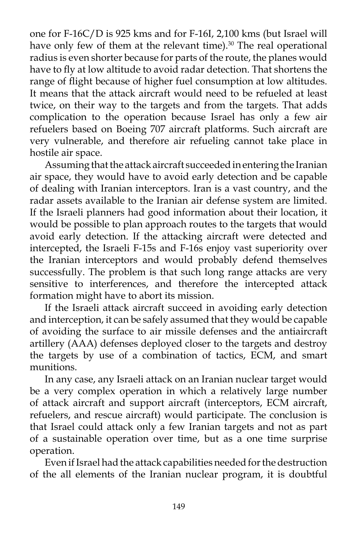one for F-16C/D is 925 kms and for F-16I, 2,100 kms (but Israel will have only few of them at the relevant time). $30$  The real operational radius is even shorter because for parts of the route, the planes would have to fly at low altitude to avoid radar detection. That shortens the range of flight because of higher fuel consumption at low altitudes. It means that the attack aircraft would need to be refueled at least twice, on their way to the targets and from the targets. That adds complication to the operation because Israel has only a few air refuelers based on Boeing 707 aircraft platforms. Such aircraft are very vulnerable, and therefore air refueling cannot take place in hostile air space.

 Assuming that the attack aircraft succeeded in entering the Iranian air space, they would have to avoid early detection and be capable of dealing with Iranian interceptors. Iran is a vast country, and the radar assets available to the Iranian air defense system are limited. If the Israeli planners had good information about their location, it would be possible to plan approach routes to the targets that would avoid early detection. If the attacking aircraft were detected and intercepted, the Israeli F-15s and F-16s enjoy vast superiority over the Iranian interceptors and would probably defend themselves successfully. The problem is that such long range attacks are very sensitive to interferences, and therefore the intercepted attack formation might have to abort its mission.

 If the Israeli attack aircraft succeed in avoiding early detection and interception, it can be safely assumed that they would be capable of avoiding the surface to air missile defenses and the antiaircraft artillery (AAA) defenses deployed closer to the targets and destroy the targets by use of a combination of tactics, ECM, and smart munitions.

 In any case, any Israeli attack on an Iranian nuclear target would be a very complex operation in which a relatively large number of attack aircraft and support aircraft (interceptors, ECM aircraft, refuelers, and rescue aircraft) would participate. The conclusion is that Israel could attack only a few Iranian targets and not as part of a sustainable operation over time, but as a one time surprise operation.

 Even if Israel had the attack capabilities needed for the destruction of the all elements of the Iranian nuclear program, it is doubtful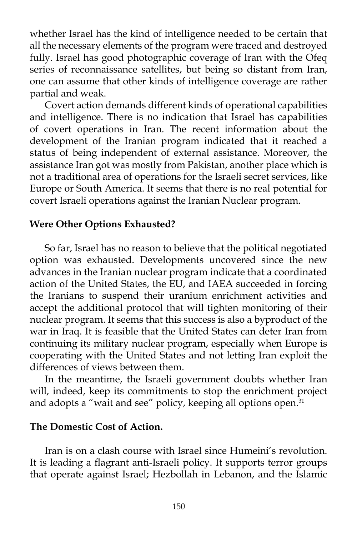whether Israel has the kind of intelligence needed to be certain that all the necessary elements of the program were traced and destroyed fully. Israel has good photographic coverage of Iran with the Ofeq series of reconnaissance satellites, but being so distant from Iran, one can assume that other kinds of intelligence coverage are rather partial and weak.

 Covert action demands different kinds of operational capabilities and intelligence. There is no indication that Israel has capabilities of covert operations in Iran. The recent information about the development of the Iranian program indicated that it reached a status of being independent of external assistance. Moreover, the assistance Iran got was mostly from Pakistan, another place which is not a traditional area of operations for the Israeli secret services, like Europe or South America. It seems that there is no real potential for covert Israeli operations against the Iranian Nuclear program.

## **Were Other Options Exhausted?**

 So far, Israel has no reason to believe that the political negotiated option was exhausted. Developments uncovered since the new advances in the Iranian nuclear program indicate that a coordinated action of the United States, the EU, and IAEA succeeded in forcing the Iranians to suspend their uranium enrichment activities and accept the additional protocol that will tighten monitoring of their nuclear program. It seems that this success is also a byproduct of the war in Iraq. It is feasible that the United States can deter Iran from continuing its military nuclear program, especially when Europe is cooperating with the United States and not letting Iran exploit the differences of views between them.

 In the meantime, the Israeli government doubts whether Iran will, indeed, keep its commitments to stop the enrichment project and adopts a "wait and see" policy, keeping all options open.<sup>31</sup>

#### **The Domestic Cost of Action.**

 Iran is on a clash course with Israel since Humeini's revolution. It is leading a flagrant anti-Israeli policy. It supports terror groups that operate against Israel; Hezbollah in Lebanon, and the Islamic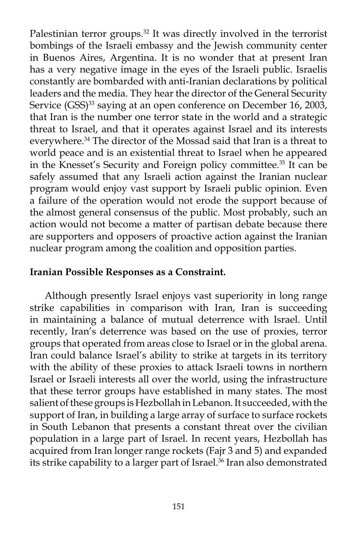Palestinian terror groups.<sup>32</sup> It was directly involved in the terrorist bombings of the Israeli embassy and the Jewish community center in Buenos Aires, Argentina. It is no wonder that at present Iran has a very negative image in the eyes of the Israeli public. Israelis constantly are bombarded with anti-Iranian declarations by political leaders and the media. They hear the director of the General Security Service (GSS)<sup>33</sup> saying at an open conference on December 16, 2003, that Iran is the number one terror state in the world and a strategic threat to Israel, and that it operates against Israel and its interests everywhere.34 The director of the Mossad said that Iran is a threat to world peace and is an existential threat to Israel when he appeared in the Knesset's Security and Foreign policy committee.<sup>35</sup> It can be safely assumed that any Israeli action against the Iranian nuclear program would enjoy vast support by Israeli public opinion. Even a failure of the operation would not erode the support because of the almost general consensus of the public. Most probably, such an action would not become a matter of partisan debate because there are supporters and opposers of proactive action against the Iranian nuclear program among the coalition and opposition parties.

## **Iranian Possible Responses as a Constraint.**

 Although presently Israel enjoys vast superiority in long range strike capabilities in comparison with Iran, Iran is succeeding in maintaining a balance of mutual deterrence with Israel. Until recently, Iran's deterrence was based on the use of proxies, terror groups that operated from areas close to Israel or in the global arena. Iran could balance Israel's ability to strike at targets in its territory with the ability of these proxies to attack Israeli towns in northern Israel or Israeli interests all over the world, using the infrastructure that these terror groups have established in many states. The most salient of these groups is Hezbollah in Lebanon. It succeeded, with the support of Iran, in building a large array of surface to surface rockets in South Lebanon that presents a constant threat over the civilian population in a large part of Israel. In recent years, Hezbollah has acquired from Iran longer range rockets (Fajr 3 and 5) and expanded its strike capability to a larger part of Israel.<sup>36</sup> Iran also demonstrated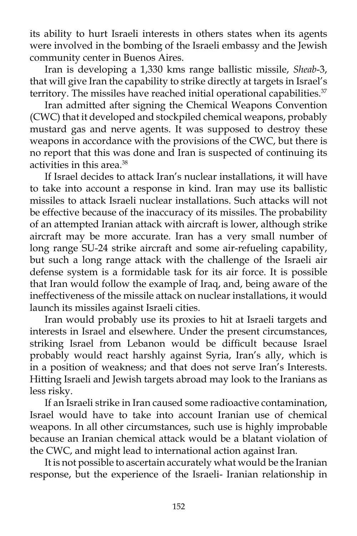its ability to hurt Israeli interests in others states when its agents were involved in the bombing of the Israeli embassy and the Jewish community center in Buenos Aires.

 Iran is developing a 1,330 kms range ballistic missile, *Sheab*-3, that will give Iran the capability to strike directly at targets in Israel's territory. The missiles have reached initial operational capabilities.<sup>37</sup>

 Iran admitted after signing the Chemical Weapons Convention (CWC) that it developed and stockpiled chemical weapons, probably mustard gas and nerve agents. It was supposed to destroy these weapons in accordance with the provisions of the CWC, but there is no report that this was done and Iran is suspected of continuing its activities in this area.<sup>38</sup>

 If Israel decides to attack Iran's nuclear installations, it will have to take into account a response in kind. Iran may use its ballistic missiles to attack Israeli nuclear installations. Such attacks will not be effective because of the inaccuracy of its missiles. The probability of an attempted Iranian attack with aircraft is lower, although strike aircraft may be more accurate. Iran has a very small number of long range SU-24 strike aircraft and some air-refueling capability, but such a long range attack with the challenge of the Israeli air defense system is a formidable task for its air force. It is possible that Iran would follow the example of Iraq, and, being aware of the ineffectiveness of the missile attack on nuclear installations, it would launch its missiles against Israeli cities.

 Iran would probably use its proxies to hit at Israeli targets and interests in Israel and elsewhere. Under the present circumstances, striking Israel from Lebanon would be difficult because Israel probably would react harshly against Syria, Iran's ally, which is in a position of weakness; and that does not serve Iran's Interests. Hitting Israeli and Jewish targets abroad may look to the Iranians as less risky.

 If an Israeli strike in Iran caused some radioactive contamination, Israel would have to take into account Iranian use of chemical weapons. In all other circumstances, such use is highly improbable because an Iranian chemical attack would be a blatant violation of the CWC, and might lead to international action against Iran.

 It is not possible to ascertain accurately what would be the Iranian response, but the experience of the Israeli- Iranian relationship in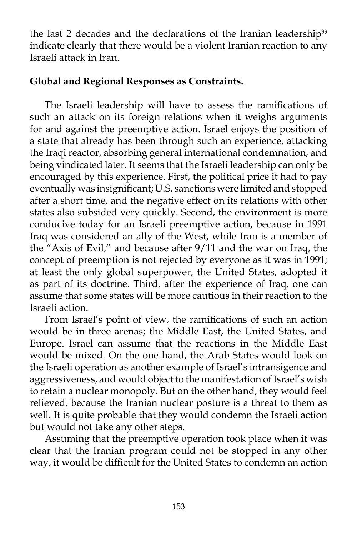the last 2 decades and the declarations of the Iranian leadership<sup>39</sup> indicate clearly that there would be a violent Iranian reaction to any Israeli attack in Iran.

## **Global and Regional Responses as Constraints.**

 The Israeli leadership will have to assess the ramifications of such an attack on its foreign relations when it weighs arguments for and against the preemptive action. Israel enjoys the position of a state that already has been through such an experience, attacking the Iraqi reactor, absorbing general international condemnation, and being vindicated later. It seems that the Israeli leadership can only be encouraged by this experience. First, the political price it had to pay eventually was insignificant; U.S. sanctions were limited and stopped after a short time, and the negative effect on its relations with other states also subsided very quickly. Second, the environment is more conducive today for an Israeli preemptive action, because in 1991 Iraq was considered an ally of the West, while Iran is a member of the "Axis of Evil," and because after 9/11 and the war on Iraq, the concept of preemption is not rejected by everyone as it was in 1991; at least the only global superpower, the United States, adopted it as part of its doctrine. Third, after the experience of Iraq, one can assume that some states will be more cautious in their reaction to the Israeli action.

 From Israel's point of view, the ramifications of such an action would be in three arenas; the Middle East, the United States, and Europe. Israel can assume that the reactions in the Middle East would be mixed. On the one hand, the Arab States would look on the Israeli operation as another example of Israel's intransigence and aggressiveness, and would object to the manifestation of Israel's wish to retain a nuclear monopoly. But on the other hand, they would feel relieved, because the Iranian nuclear posture is a threat to them as well. It is quite probable that they would condemn the Israeli action but would not take any other steps.

 Assuming that the preemptive operation took place when it was clear that the Iranian program could not be stopped in any other way, it would be difficult for the United States to condemn an action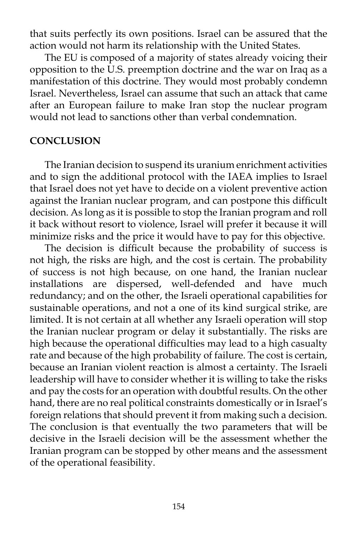that suits perfectly its own positions. Israel can be assured that the action would not harm its relationship with the United States.

 The EU is composed of a majority of states already voicing their opposition to the U.S. preemption doctrine and the war on Iraq as a manifestation of this doctrine. They would most probably condemn Israel. Nevertheless, Israel can assume that such an attack that came after an European failure to make Iran stop the nuclear program would not lead to sanctions other than verbal condemnation.

## **CONCLUSION**

 The Iranian decision to suspend its uranium enrichment activities and to sign the additional protocol with the IAEA implies to Israel that Israel does not yet have to decide on a violent preventive action against the Iranian nuclear program, and can postpone this difficult decision. As long as it is possible to stop the Iranian program and roll it back without resort to violence, Israel will prefer it because it will minimize risks and the price it would have to pay for this objective.

 The decision is difficult because the probability of success is not high, the risks are high, and the cost is certain. The probability of success is not high because, on one hand, the Iranian nuclear installations are dispersed, well-defended and have much redundancy; and on the other, the Israeli operational capabilities for sustainable operations, and not a one of its kind surgical strike, are limited. It is not certain at all whether any Israeli operation will stop the Iranian nuclear program or delay it substantially. The risks are high because the operational difficulties may lead to a high casualty rate and because of the high probability of failure. The cost is certain, because an Iranian violent reaction is almost a certainty. The Israeli leadership will have to consider whether it is willing to take the risks and pay the costs for an operation with doubtful results. On the other hand, there are no real political constraints domestically or in Israel's foreign relations that should prevent it from making such a decision. The conclusion is that eventually the two parameters that will be decisive in the Israeli decision will be the assessment whether the Iranian program can be stopped by other means and the assessment of the operational feasibility.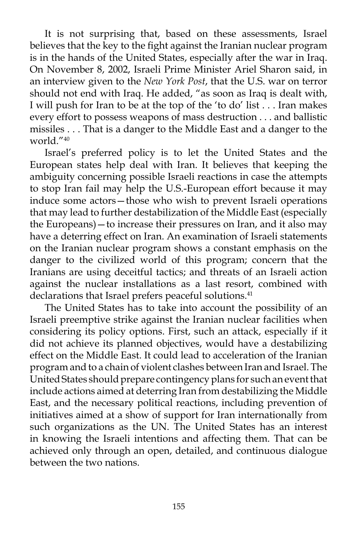It is not surprising that, based on these assessments, Israel believes that the key to the fight against the Iranian nuclear program is in the hands of the United States, especially after the war in Iraq. On November 8, 2002, Israeli Prime Minister Ariel Sharon said, in an interview given to the *New York Post*, that the U.S. war on terror should not end with Iraq. He added, "as soon as Iraq is dealt with, I will push for Iran to be at the top of the 'to do' list . . . Iran makes every effort to possess weapons of mass destruction . . . and ballistic missiles . . . That is a danger to the Middle East and a danger to the world."40

 Israel's preferred policy is to let the United States and the European states help deal with Iran. It believes that keeping the ambiguity concerning possible Israeli reactions in case the attempts to stop Iran fail may help the U.S.-European effort because it may induce some actors—those who wish to prevent Israeli operations that may lead to further destabilization of the Middle East (especially the Europeans)—to increase their pressures on Iran, and it also may have a deterring effect on Iran. An examination of Israeli statements on the Iranian nuclear program shows a constant emphasis on the danger to the civilized world of this program; concern that the Iranians are using deceitful tactics; and threats of an Israeli action against the nuclear installations as a last resort, combined with declarations that Israel prefers peaceful solutions.<sup>41</sup>

 The United States has to take into account the possibility of an Israeli preemptive strike against the Iranian nuclear facilities when considering its policy options. First, such an attack, especially if it did not achieve its planned objectives, would have a destabilizing effect on the Middle East. It could lead to acceleration of the Iranian program and to a chain of violent clashes between Iran and Israel. The United States should prepare contingency plans for such an event that include actions aimed at deterring Iran from destabilizing the Middle East, and the necessary political reactions, including prevention of initiatives aimed at a show of support for Iran internationally from such organizations as the UN. The United States has an interest in knowing the Israeli intentions and affecting them. That can be achieved only through an open, detailed, and continuous dialogue between the two nations.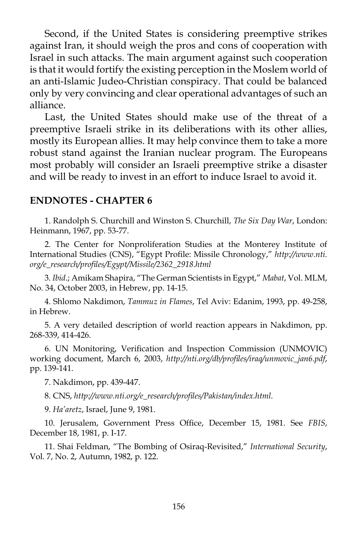Second, if the United States is considering preemptive strikes against Iran, it should weigh the pros and cons of cooperation with Israel in such attacks. The main argument against such cooperation is that it would fortify the existing perception in the Moslem world of an anti-Islamic Judeo-Christian conspiracy. That could be balanced only by very convincing and clear operational advantages of such an alliance.

 Last, the United States should make use of the threat of a preemptive Israeli strike in its deliberations with its other allies, mostly its European allies. It may help convince them to take a more robust stand against the Iranian nuclear program. The Europeans most probably will consider an Israeli preemptive strike a disaster and will be ready to invest in an effort to induce Israel to avoid it.

### **ENDNOTES - CHAPTER 6**

 1. Randolph S. Churchill and Winston S. Churchill, *The Six Day War*, London: Heinmann, 1967, pp. 53-77.

 2. The Center for Nonproliferation Studies at the Monterey Institute of International Studies (CNS), "Egypt Profile: Missile Chronology," *http://www.nti. org/e\_research/profiles/Egypt/Missile/2362\_2918.html*

 3. *Ibid*.; Amikam Shapira, "The German Scientists in Egypt," *Mabat*, Vol. MLM, No. 34, October 2003, in Hebrew, pp. 14-15.

 4. Shlomo Nakdimon, *Tammuz in Flames*, Tel Aviv: Edanim, 1993, pp. 49-258, in Hebrew.

 5. A very detailed description of world reaction appears in Nakdimon, pp. 268-339, 414-426.

 6. UN Monitoring, Verification and Inspection Commission (UNMOVIC) working document, March 6, 2003, *http://nti.org/db/profiles/iraq/unmovic\_jan6.pdf*, pp. 139-141.

7. Nakdimon, pp. 439-447.

8. CNS, *http://www.nti.org/e\_research/profiles/Pakistan/index.html*.

9. *Ha'aretz*, Israel, June 9, 1981.

 10. Jerusalem, Government Press Office, December 15, 1981. See *FBIS*, December 18, 1981, p. I-17.

 11. Shai Feldman, "The Bombing of Osiraq-Revisited," *International Security*, Vol. 7, No. 2, Autumn, 1982, p. 122.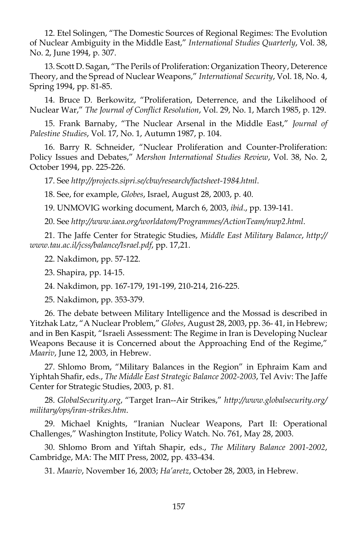12. Etel Solingen, "The Domestic Sources of Regional Regimes: The Evolution of Nuclear Ambiguity in the Middle East," *International Studies Quarterly*, Vol. 38, No. 2, June 1994, p. 307.

 13. Scott D. Sagan, "The Perils of Proliferation: Organization Theory, Deterence Theory, and the Spread of Nuclear Weapons," *International Security*, Vol. 18, No. 4, Spring 1994, pp. 81-85.

 14. Bruce D. Berkowitz, "Proliferation, Deterrence, and the Likelihood of Nuclear War," *The Journal of Conflict Resolution*, Vol. 29, No. 1, March 1985, p. 129.

 15. Frank Barnaby, "The Nuclear Arsenal in the Middle East," *Journal of Palestine Studies*, Vol. 17, No. 1, Autumn 1987, p. 104.

 16. Barry R. Schneider, "Nuclear Proliferation and Counter-Proliferation: Policy Issues and Debates," *Mershon International Studies Review*, Vol. 38, No. 2, October 1994, pp. 225-226.

17. See *http://projects.sipri.se/cbw/research/factsheet-1984.html*.

18. See, for example, *Globes*, Israel, August 28, 2003, p. 40.

19. UNMOVIG working document, March 6, 2003, *ibid*., pp. 139-141.

20. See *http://www.iaea.org/worldatom/Programmes/ActionTeam/nwp2.html*.

 21. The Jaffe Center for Strategic Studies, *Middle East Military Balance*, *http:// www.tau.ac.il/jcss/balance/Israel.pdf*, pp. 17,21.

22. Nakdimon, pp. 57-122.

23. Shapira, pp. 14-15.

24. Nakdimon, pp. 167-179, 191-199, 210-214, 216-225.

25. Nakdimon, pp. 353-379.

 26. The debate between Military Intelligence and the Mossad is described in Yitzhak Latz, "A Nuclear Problem," *Globes*, August 28, 2003, pp. 36- 41, in Hebrew; and in Ben Kaspit, "Israeli Assessment: The Regime in Iran is Developing Nuclear Weapons Because it is Concerned about the Approaching End of the Regime," *Maariv*, June 12, 2003, in Hebrew.

 27. Shlomo Brom, "Military Balances in the Region" in Ephraim Kam and Yiphtah Shafir, eds., *The Middle East Strategic Balance 2002-2003*, Tel Aviv: The Jaffe Center for Strategic Studies, 2003, p. 81.

 28. *GlobalSecurity.org*, "Target Iran--Air Strikes," *http://www.globalsecurity.org/ military/ops/iran-strikes.htm*.

 29. Michael Knights, "Iranian Nuclear Weapons, Part II: Operational Challenges," Washington Institute, Policy Watch. No. 761, May 28, 2003.

 30. Shlomo Brom and Yiftah Shapir, eds., *The Military Balance 2001-2002*, Cambridge, MA: The MIT Press, 2002, pp. 433-434.

31. *Maariv*, November 16, 2003; *Ha'aretz*, October 28, 2003, in Hebrew.